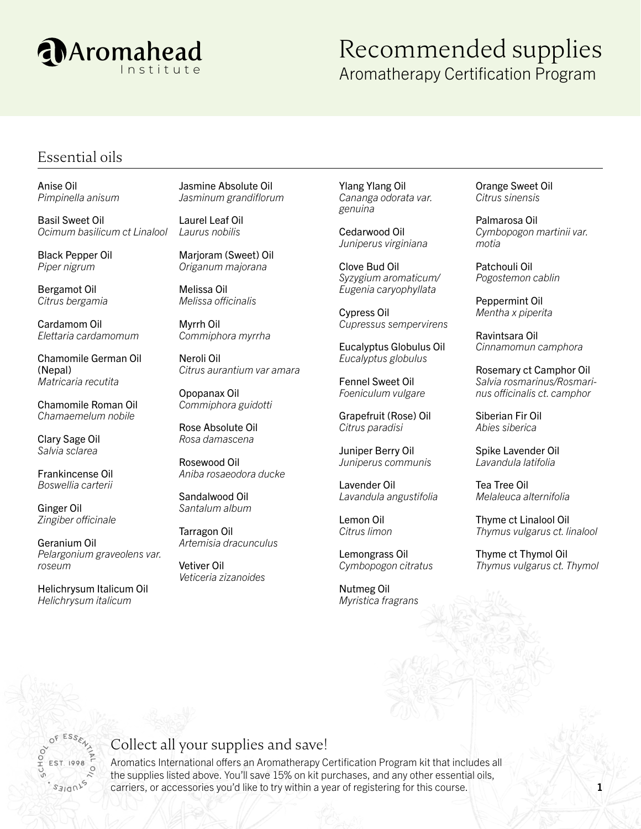

## Recommended supplies Aromatherapy Certification Program

#### Essential oils

Anise Oil *Pimpinella anisum*

Basil Sweet Oil *Ocimum basilicum ct Linalool*

Black Pepper Oil *Piper nigrum*

Bergamot Oil *Citrus bergamia*

Cardamom Oil *Elettaria cardamomum*

Chamomile German Oil (Nepal) *Matricaria recutita*

Chamomile Roman Oil *Chamaemelum nobile*

Clary Sage Oil *Salvia sclarea*

Frankincense Oil *Boswellia carterii*

Ginger Oil *Zingiber officinale*

Geranium Oil *Pelargonium graveolens var. roseum*

Helichrysum Italicum Oil *Helichrysum italicum*

Jasmine Absolute Oil *Jasminum grandiflorum*

Laurel Leaf Oil *Laurus nobilis*

Marjoram (Sweet) Oil *Origanum majorana*

Melissa Oil *Melissa officinalis*

Myrrh Oil *Commiphora myrrha*

Neroli Oil *Citrus aurantium var amara*

Opopanax Oil *Commiphora guidotti*

Rose Absolute Oil *Rosa damascena*

Rosewood Oil *Aniba rosaeodora ducke*

Sandalwood Oil *Santalum album*

Tarragon Oil *Artemisia dracunculus*

Vetiver Oil *Veticeria zizanoides* Ylang Ylang Oil *Cananga odorata var. genuina*

Cedarwood Oil *Juniperus virginiana*

Clove Bud Oil *Syzygium aromaticum/ Eugenia caryophyllata*

Cypress Oil *Cupressus sempervirens*

Eucalyptus Globulus Oil *Eucalyptus globulus*

Fennel Sweet Oil *Foeniculum vulgare*

Grapefruit (Rose) Oil *Citrus paradisi*

Juniper Berry Oil *Juniperus communis*

Lavender Oil *Lavandula angustifolia*

Lemon Oil *Citrus limon*

Lemongrass Oil *Cymbopogon citratus*

Nutmeg Oil *Myristica fragrans* Orange Sweet Oil *Citrus sinensis*

Palmarosa Oil *Cymbopogon martinii var. motia*

Patchouli Oil *Pogostemon cablin*

Peppermint Oil *Mentha x piperita*

Ravintsara Oil *Cinnamomun camphora*

Rosemary ct Camphor Oil *Salvia rosmarinus/Rosmarinus officinalis ct. camphor*

Siberian Fir Oil *Abies siberica*

Spike Lavender Oil *Lavandula latifolia*

Tea Tree Oil *Melaleuca alternifolia*

Thyme ct Linalool Oil *Thymus vulgarus ct. linalool*

Thyme ct Thymol Oil *Thymus vulgarus ct. Thymol*

## Collect all your supplies and save!

Aromatics International offers an Aromatherapy Certification Program kit that includes all the supplies listed above. You'll save 15% on kit purchases, and any other essential oils, carriers, or accessories you'd like to try within a year of registering for this course.  $1$